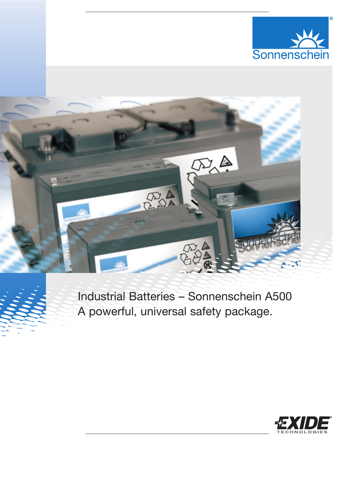



# Industrial Batteries – Sonnenschein A500 A powerful, universal safety package.

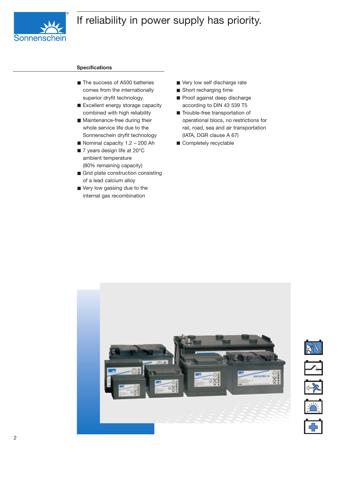## If reliability in power supply has priority.



#### **Specifications**

- The success of A500 batteries comes from the internationally superior dryfit technology.
- Excellent energy storage capacity combined with high reliability
- **Maintenance-free during their** whole service life due to the Sonnenschein dryfit technology
- Nominal capacity  $1.2 200$  Ah
- 7 years design life at 20°C ambient temperature (80% remaining capacity)
- Grid plate construction consisting of a lead calcium alloy
- Very low gassing due to the internal gas recombination
- Very low self discharge rate
- Short recharging time
- Proof against deep discharge according to DIN 43 539 T5
- Trouble-free transportation of operational blocs, no restrictions for rail, road, sea and air transportation (IATA, DGR clause A 67)
- Completely recyclable



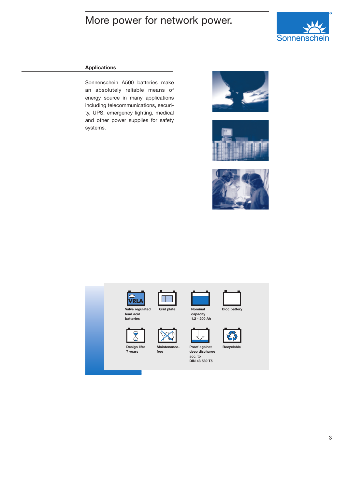### More power for network power.



### **Applications**

Sonnenschein A500 batteries make an absolutely reliable means of energy source in many applications including telecommunications, security, UPS, emergency lighting, medical and other power supplies for safety systems.







|  | Valve regulated<br>lead acid<br>batteries | <b>Grid plate</b>    | <b>Nominal</b><br>capacity<br>$1.2 - 200$ Ah                       | <b>Bloc battery</b> |  |
|--|-------------------------------------------|----------------------|--------------------------------------------------------------------|---------------------|--|
|  | Design life:<br>7 years                   | Maintenance-<br>free | Proof against<br>deep discharge<br>acc. to<br><b>DIN 43 539 T5</b> | Recyclable          |  |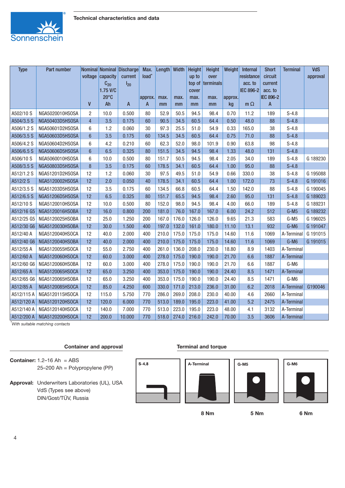

| <b>Type</b> | Part number     |                |                      | Nominal Nominal Discharge | Max.    | Length Width |       | Height     | Height           | Weight  | Internal   | <b>Short</b> | <b>Terminal</b> | VdS      |
|-------------|-----------------|----------------|----------------------|---------------------------|---------|--------------|-------|------------|------------------|---------|------------|--------------|-----------------|----------|
|             |                 |                | voltage capacity     | current                   | load*   |              |       | up to      | over             |         | resistance | circuit      |                 | approval |
|             |                 |                | $C_{20}$             | $I_{20}$                  |         |              |       |            | top of terminals |         | acc. to    | current      |                 |          |
|             |                 |                | 1.75 V/C             |                           |         |              |       | cover      |                  |         | IEC 896-2  | acc. to      |                 |          |
|             |                 | $\mathsf{V}$   | $20^{\circ}$ C<br>Ah | A                         | approx. | max.         | max.  | max.<br>mm | max.<br>mm       | approx. | $m \Omega$ | IEC 896-2    |                 |          |
|             |                 |                |                      |                           | A       | mm           | mm    |            |                  | kg      |            | A            |                 |          |
| A502/10 S   | NGA5020010HSOSA | 2              | 10.0                 | 0.500                     | 80      | 52.9         | 50.5  | 94.5       | 98.4             | 0.70    | 11.2       | 189          | $S-4.8$         |          |
| A504/3.5 S  | NGA50403D5HSOSA | $\overline{4}$ | 3.5                  | 0.175                     | 60      | 90.5         | 34.5  | 60.5       | 64.4             | 0.50    | 48.0       | 88           | $S-4.8$         |          |
| A506/1.2 S  | NGA50601D2HSOSA | 6              | 1.2                  | 0.060                     | 30      | 97.3         | 25.5  | 51.0       | 54.9             | 0.33    | 165.0      | 38           | $S-4.8$         |          |
| A506/3.5 S  | NGA50603D5HSOSA | $6\phantom{1}$ | 3.5                  | 0.175                     | 60      | 134.5        | 34.5  | 60.5       | 64.4             | 0.75    | 71.0       | 88           | $S-4.8$         |          |
| A506/4.2 S  | NGA50604D2HSOSA | 6              | 4.2                  | 0.210                     | 60      | 62.3         | 52.0  | 98.0       | 101.9            | 0.90    | 63.8       | 98           | $S-4.8$         |          |
| A506/6.5 S  | NGA50606D5HSOSA | $\overline{6}$ | 6.5                  | 0.325                     | 80      | 151.5        | 34.5  | 94.5       | 98.4             | 1.33    | 48.0       | 131          | $S-4.8$         |          |
| A506/10 S   | NGA5060010HSOSA | 6              | 10.0                 | 0.500                     | 80      | 151.7        | 50.5  | 94.5       | 98.4             | 2.05    | 34.0       | 189          | $S-4.8$         | G 189230 |
| A508/3.5 S  | NGA50803D5HSOSA | 8              | 3.5                  | 0.175                     | 60      | 178.5        | 34.1  | 60.5       | 64.4             | 1.00    | 95.0       | 88           | $S-4.8$         |          |
| A512/1.2 S  | NGA51201D2HSOSA | 12             | 1.2                  | 0.060                     | 30      | 97.5         | 49.5  | 51.0       | 54.9             | 0.66    | 330.0      | 38           | $S-4.8$         | G 195088 |
| A512/2 S    | NGA5120002HSOSA | 12             | 2.0                  | 0.050                     | 40      | 178.5        | 34.1  | 60.5       | 64.4             | 1.00    | 172.0      | 73           | $S-4.8$         | G 191016 |
| A512/3.5 S  | NGA51203D5HSOSA | 12             | 3.5                  | 0.175                     | 60      | 134.5        | 66.8  | 60.5       | 64.4             | 1.50    | 142.0      | 88           | $S-4.8$         | G 190045 |
| A512/6.5 S  | NGA51206D5HSOSA | 12             | 6.5                  | 0.325                     | 80      | 151.7        | 65.5  | 94.5       | 98.4             | 2.60    | 95.0       | 131          | $S-4.8$         | G 189023 |
| A512/10 S   | NGA5120010HSOSA | 12             | 10.0                 | 0.500                     | 80      | 152.0        | 98.0  | 94.5       | 98.4             | 4.00    | 66.0       | 189          | $S-4.8$         | G 189231 |
| A512/16 G5  | NGA5120016HSOBA | 12             | 16.0                 | 0.800                     | 200     | 181.0        | 76.0  | 167.0      | 167.0            | 6.00    | 24.2       | 512          | $G-M5$          | G 189232 |
| A512/25 G5  | NGA5120025HSOBA | 12             | 25.0                 | 1.250                     | 200     | 167.0        | 176.0 | 126.0      | 126.0            | 9.65    | 21.3       | 583          | $G-M5$          | G 196025 |
| A512/30 G6  | NGA5120030HSOBA | 12             | 30.0                 | 1.500                     | 400     | 197.0        | 132.0 | 161.0      | 180.0            | 11.10   | 13.1       | 932          | G-M6            | G 191047 |
| A512/40 A   | NGA5120040HSOCA | 12             | 40.0                 | 2.000                     | 400     | 210.0        | 175.0 | 175.0      | 175.0            | 14.60   | 11.6       | 1069         | A-Terminal      | G 191015 |
| A512/40 G6  | NGA5120040HSOBA | 12             | 40.0                 | 2.000                     | 400     | 210.0        | 175.0 | 175.0      | 175.0            | 14.60   | 11.6       | 1069         | G-M6            | G 191015 |
| A512/55 A   | NGA5120055HSOCA | 12             | 55.0                 | 2.750                     | 400     | 261.0        | 136.0 | 208.0      | 230.0            | 18.80   | 8.9        | 1403         | A-Terminal      |          |
| A512/60 A   | NGA5120060HSOCA | 12             | 60.0                 | 3.000                     | 400     | 278.0        | 175.0 | 190.0      | 190.0            | 21.70   | 6.6        | 1887         | A-Terminal      |          |
| A512/60 G6  | NGA5120060HSOBA | 12             | 60.0                 | 3.000                     | 400     | 278.0        | 175.0 | 190.0      | 190.0            | 21.70   | 6.6        | 1887         | G-M6            |          |
| A512/65 A   | NGA5120065HSOCA | 12             | 65.0                 | 3.250                     | 400     | 353.0        | 175.0 | 190.0      | 190.0            | 24.40   | 8.5        | 1471         | A-Terminal      |          |
| A512/65 G6  | NGA5120065HSOBA | 12             | 65.0                 | 3.250                     | 400     | 353.0        | 175.0 | 190.0      | 190.0            | 24.40   | 8.5        | 1471         | G-M6            |          |
| A512/85 A   | NGA5120085HSOCA | 12             | 85.0                 | 4.250                     | 600     | 330.0        | 171.0 | 213.0      | 236.0            | 31.00   | 6.2        | 2018         | A-Terminal      | G190046  |
| A512/115 A  | NGA5120115HSOCA | 12             | 115.0                | 5.750                     | 770     | 286.0        | 269.0 | 208.0      | 230.0            | 40.00   | 4.6        | 2660         | A-Terminal      |          |
| A512/120 A  | NGA5120120HSOCA | 12             | 120.0                | 6.000                     | 770     | 513.0        | 189.0 | 195.0      | 223.0            | 41.00   | 5.2        | 2475         | A-Terminal      |          |
| A512/140 A  | NGA5120140HSOCA | 12             | 140.0                | 7.000                     | 770     | 513.0        | 223.0 | 195.0      | 223.0            | 48.00   | 4.1        | 3132         | A-Terminal      |          |
| A512/200 A  | NGA5120200HSOCA | 12             | 200.0                | 10.000                    | 770     | 518.0        | 274.0 | 216.0      | 242.0            | 70.00   | 3.5        | 3606         | A-Terminal      |          |

*\*With suitable matching contacts*

### **Container and approval**

 $S-4.8$ 

**Container:** 1.2–16 Ah = ABS 25–200 Ah = Polypropylene (PP)

**Approval:** Underwriters Laboratories (UL), USA VdS (Types see above) DIN/Gost/TÜV, Russia











**8 Nm 5 Nm 6 Nm**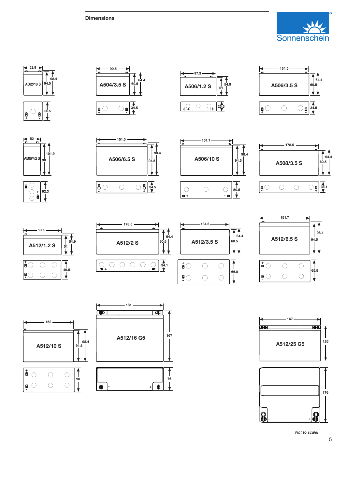































*Not to scale!*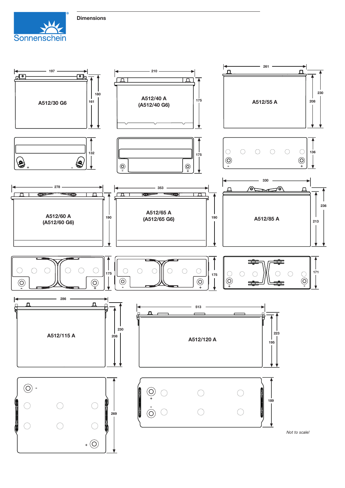



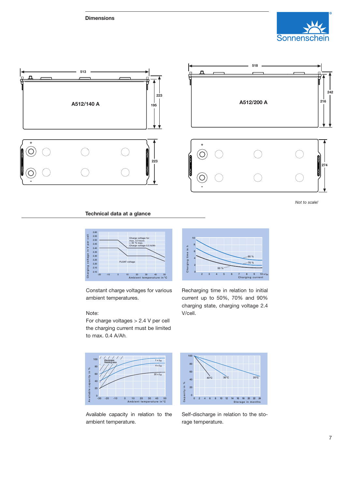**Dimensions**





*Not to scale!*

### **Technical data at a glance**



Constant charge voltages for various ambient temperatures.

#### Note:

For charge voltages > 2.4 V per cell the charging current must be limited to max. 0.4 A/Ah.



Recharging time in relation to initial current up to 50%, 70% and 90% charging state, charging voltage 2.4 V/cell.



Available capacity in relation to the ambient temperature.



Self-discharge in relation to the storage temperature.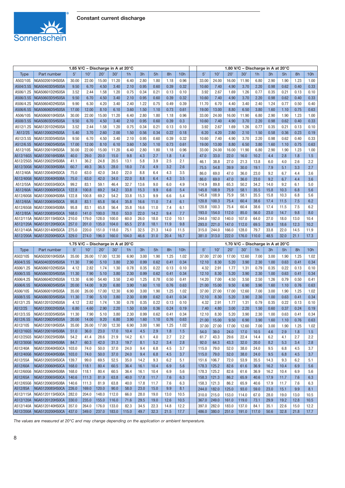

|                       | 1.85 V/C - Discharge in A at 20°C  |                |                |               |              |                |              |              |            |            |                |                |                |               | 1.80 V/C - Discharge in A at 20°C |              |              |             |             |
|-----------------------|------------------------------------|----------------|----------------|---------------|--------------|----------------|--------------|--------------|------------|------------|----------------|----------------|----------------|---------------|-----------------------------------|--------------|--------------|-------------|-------------|
| <b>Type</b>           | Part number                        | 5'             | 10'            | 20'           | 30'          | 1h             | 3h           | 5h           | 8h         | 10h        | 5'             | 10'            | 20'            | 30'           | 1h                                | 3h           | 5h           | 8h          | 10h         |
| A502/10S              | NGA5020010HS0SA                    | 30.00          | 22.00          | 15.00         | 11.20        | 6.40           | 2.80         | 1.80         | 1.18       | 0.96       | 33.00          | 24.00          | 16.00          | 11.90         | 6.80                              | 2.90         | 1.90         | 1.23        | 1.00        |
| A504/3.5S             | NGA50403D5HS0SA                    | 9.50           | 6.70           | 4.50          | 3.40         | 2.10           | 0.95         | 0.60         | 0.39       | 0.32       | 10.60          | 7.40           | 4.90           | 3.70          | 2.20                              | 0.98         | 0.62         | 0.40        | 0.33        |
| A506/1.2S             | NGA50601D2HS0SA                    | 3.52           | 2.44           | 1.58          | 1.20         | 0.75           | 0.34         | 0.21         | 0.13       | 0.10       | 3.92           | 2.67           | 1.69           | 1.26          | 0.77                              | 0.35         | 0.21         | 0.13        | 0.10        |
| A506/3.5S             | NGA50603D5HS0SA                    | 9.50           | 6.70           | 4.50          | 3.40         | 2.10           | 0.95         | 0.60         | 0.39       | 0.32       | 10.60          | 7.40           | 4.90           | 3.70          | 2.20                              | 0.98         | 0.62         | 0.40        | 0.33        |
| A506/4.2S             | NGA50604D2HS0SA                    | 9.90           | 6.30           | 4.20          | 3.40         | 2.40           | 1.22         | 0.75         | 0.49       | 0.39       | 11.70          | 6.70           | 4.40           | 3.40          | 2.40                              | 1.24         | 0.77         | 0.50        | 0.40        |
| A506/6.5S             | NGA50606D5HS0SA                    | 17.00          | 12.00          | 8.10          | 6.10         | 3.60           | 1.50         | 1.10         | 0.73       | 0.61       | 19.00          | 13.00          | 8.80           | 6.50          | 3.80                              | 1.60         | 1.10         | 0.75        | 0.63        |
| A506/10S              | NGA5060010HS0SA                    | 30.00          | 22.00          | 15.00         | 11.20        | 6.40           | 2.80         | 1.80         | 1.18       | 0.96       | 33.00          | 24.00          | 16.00          | 11.90         | 6.80                              | 2.90         | 1.90         | 1.23        | 1.00        |
| A508/3.5S             | NGA50803D5HS0SA                    | 9.50           | 6.70           | 4.50          | 3.40         | 2.10           | 0.95         | 0.60         | 0.39       | 0.3        | 10.60          | 7.40           | 4.90           | 3.70          | 2.20                              | 0.98         | 0.62         | 0.40        | 0.33        |
| A512/1.2S             | NGA51201D2HS0SA                    | 3.52           | 2.44           | 1.58          | 1.20         | 0.75           | 0.34         | 0.21         | 0.13       | 0.10       | 3.92           | 2.67           | 1.69           | 1.26          | 0.77                              | 0.35         | 0.21         | 0.13        | 0.10        |
| A512/2S               | NGA5120002HS0SA                    | 5.40           | 3.70           | 2.60          | 2.00         | 1.50           | 0.56         | 0.34         | 0.22       | 0.18       | 6.20           | 4.20           | 2.80           | 2.10          | 1.50                              | 0.58         | 0.36         | 0.23        | 0.19        |
| A512/3.5S             | NGA51203D5HS0SA                    | 9.50           | 6.70           | 4.50          | 3.40         | 2.10           | 0.95         | 0.60         | 0.39       | 0.32       | 10.60          | 7.40           | 4.90           | 3.70          | 2.20                              | 0.98         | 0.62         | 0.40        | 0.33        |
| A512/6.5S             | NGA51206D5HS0SA                    | 17.00          | 12.00          | 8.10          | 6.10         | 3.60           | 1.50         | 1.10         | 0.73       | 0.61       | 19.00          | 13.00          | 8.80           | 6.50          | 3.80                              | 1.60         | 1.10         | 0.75        | 0.63        |
| A512/10S              | NGA5120010HS0SA                    | 30.00          | 22.00          | 15.00         | 11.20        | 6.40           | 2.80         | 1.80         | 1.18       | 0.96       | 33.00          | 24.00          | 16.00          | 11.90         | 6.80                              | 2.90         | 1.90         | 1.23        | 1.00        |
| A512/16G5             | NGA5120016HS0BA                    | 40.0           | 29.0           | 20.0          | 15.0         | 9.8            | 4.3          | 2.7          | 1.8        | 1.4        | 47.0           | 33.0           | 22.0           | 16.0          | 10.2                              | 4.4          | 2.8          | 1.8         | 1.5         |
| A512/25G5             | NGA5120025HS0BA                    | 41.1           | 36.2           | 24.8          | 20.5         | 13.1           | 5.8          | 3.9          | 2.5        | 2.1        | 46.1           | 38.8           | 27.0           | 21.3          | 13.8                              | 6.0          | 4.0          | 2.6         | 2.2         |
| A512/30G6             | NGA5120030HS0BA                    | 60.7           | 49.3           | 36.5          | 28.0         | 18.0           | 7.6          | 4.9          | 3.2        | 2.6        | 75.5           | 54.8           | 39.9           | 30.0          | 19.1                              | 7.9          | 5.1          | 3.3         | 2.7         |
| A512/40A              | NGA5120040HS0CA                    | 75.0           | 63.0           | 42.0          | 34.0         | 22.0           | 8.8          | 6.4          | 4.3        | 3.5        | 86.0           | 69.0           | 47.0           | 36.0          | 23.0                              | 9.2          | 6.7          | 4.4         | 3.6         |
| A512/40G6             | NGA5120040HS0BA                    | 75.0           | 63.0           | 42.0          | 34.0         | 22.0           | 8.8          | 6.4          | 4.3        | 3.5        | 86.0           | 69.0           | 47.0           | 36.0          | 23.0                              | 9.2          | 6.7          | 4.4         | 3.6         |
| A512/55A              | NGA5120055HS0CA                    | 99.2           | 83.1           | 59.1          | 46.4         | 32.7           | 13.6         | 9.0          | 6.0        | 4.9        | 114.9          | 89.8           | 65.3           | 50.2          | 34.2                              | 14.0         | 9.2          | 6.1         | 5.0         |
| A512/60A              | <b>NGA5120060HSOCA</b>             | 122.8          | 100.8          | 69.2          | 54.2         | 33.8           | 15.3         | 9.9          | 6.6        | 5.4        | 145.8          | 108.9          | 75.9           | 58.1          | 35.5                              | 15.8         | 10.3         | 6.8         | 5.6         |
| A512/60G6             | NGA5120060HS0BA                    | 122.8          | 100.8          | 69.2          | 54.2         | 33.8           | 15.3         | 9.9          | 6.6        | 5.4        | 145.8          | 108.9          | 75.9           | 58.1          | 35.5                              | 15.8         | 10.3         | 6.8         | 5.6         |
| A512/65A              | NGA5120065HS0CA                    | 95.8           | 83.1           | 65.8          | 56.4         | 35.8           | 16.6         | 11.0         | 7.4        | 6.1        | 120.8          | 100.3          | 75.4           | 60.4          | 38.6                              | 17.4         | 11.5         | 7.5         | 6.2         |
| A512/65G6             | NGA5120065HS0BA                    | 95.8           | 83.1           | 65.8          | 56.4         | 35.8           | 16.6         | 11.0         | 7.4        | 6.1        | 120.8          | 100.3          | 75.4           | 60.4          | 38.6                              | 17.4         | 11.5         | 7.5         | 6.2         |
| A512/85A              | NGA5120085HS0CA                    | 168.0          | 141.0          | 100.0         | 78.0         | 53.0           | 22.0         | 14.2         | 9.4        | 7.7        | 193.0          | 154.0          | 112.0          | 85.0          | 56.0                              | 23.0         | 14.7         | 9.8         | 8.0         |
| A512/115A             | NGA5120115HS0CA                    | 210.0          | 179.0          | 128.0         | 100.0        | 60.0           | 26.0         | 18.0         | 12.0       | 10.1       | 244.0          | 192.0          | 140.0          | 107.0         | 64.0                              | 27.0         | 18.0         | 13.0        | 10.4        |
| A512/120A             | NGA5120120HS0CA                    | 257.0          | 201.0          | 135.0         | 104.0        | 65.5           | 27.8         | 18.1         | 11.9       | 9.8        | 293.0          | 221.0          | 147.0          | 112.0         | 69.5                              | 28.9         | 18.6         | 12.3        | 10.2        |
| A512/140A             | NGA5120140HS0CA                    | 275.0          | 220.0          | 151.0         | 118.0        | 75.1           | 32.5         | 21.3         | 14.0       | 11.5       | 315.0          | 244.0          | 166.0          | 128.0         | 79.7                              | 33.8         | 22.0         | 14.5        | 11.9        |
|                       | A512/200A NGA5120200HS0CA          | 329.0          | 274.0          | 196.0         | 160.0        | 104.0          | 46.6         | 31.0         | 20.4       | 16.7       | 381.0          | 313.0          | 222.0          | 176.0         | 110.0                             | 48.5         | 32.0         | 21.1        | 17.3        |
|                       | 1.75 V/C - Discharge in A at 20°C  |                |                |               |              |                |              |              |            |            |                |                |                |               |                                   |              |              |             |             |
|                       |                                    |                |                |               |              |                |              |              |            |            |                |                |                |               | 1.70 V/C - Discharge in A at 20°C |              |              |             |             |
| <b>Type</b>           | Part number                        | 5'             | 10'            | 20'           | 30'          | 1 <sub>h</sub> | 3h           | 5h           | 8h         | 10h        | 5'             | 10'            | 20'            | 30'           | 1 <sub>h</sub>                    | 3h           | 5h           | 8h          | 10h         |
| A502/10S              | NGA5020010HS0SA                    | 35.00          | 26.00          | 17.00         | 12.30        | 6.90           | 3.00         | 1.90         | 1.25       | 1.02       | 37.00          | 27.00          | 17.00          | 12.60         | 7.00                              | 3.00         | 1.90         | 1.25        | 1.02        |
| A504/3.5S             | NGA50403D5HS0SA                    | 11.30          | 7.90           | 5.10          | 3.80         | 2.30           | 0.99         | 0.62         | 0.41       | 0.34       | 12.10          | 8.30           | 5.20           | 3.90          | 2.30                              | 1.00         | 0.63         | 0.41        | 0.34        |
| A506/1.2S             | NGA50601D2HS0SA                    | 4.12           | 2.82           | 1.74          | 1.30         | 0.78           | 0.35         | 0.22         | 0.13       | 0.10       | 4.32           | 2.91           | 1.77           | 1.31          | 0.79                              | 0.35         | 0.22         | 0.13        | 0.10        |
| A506/3.5S             | NGA50603D5HS0SA                    | 11.30          | 7.90           | 5.10          | 3.80         | 2.30           | 0.99         | 0.62         | 0.41       | 0.34       | 12.10          | 8.30           | 5.20           | 3.90          | 2.30                              | 1.00         | 0.63         | 0.41        | 0.34        |
| A506/4.2S             | NGA50604D2HS0SA                    | 13.30          | 6.90           | 54.40         | 3.50         | 2.40           | 1.25         | 0.78         | 0.50       | 0.41       | 14.20          | 7.00           | 4.50           | 3.50          | 2.50                              | 1.26         | 0.79         | 0.50        | 0.41        |
| A506/6.5S             | NGA50606D5HS0SA                    | 20.00          | 14.00          | 9.20          | 6.80         | 3.90           | 1.60         | 1.10         | 0.76       | 0.63       | 21.00          | 15.00          | 9.50           | 6.90          | 3.90                              | 1.60         | 1.10         | 0.76        | 0.63        |
| A506/10S              | NGA5060010HS0SA                    | 35.00          | 26.00          | 17.00         | 12.30        | 6.90           | 3.00         | 1.90         | 1.25       | 1.02       | 37.00          | 27.00          | 17.00          | 12.60         | 7.00                              | 3.00         | 1.90         | 1.25        | 1.02        |
| A508/3.5S             | NGA50803D5HS0SA                    | 11.30          | 7.90           | 5.10          | 3.80         | 2.30           | 0.99         | 0.62         | 0.41       | 0.34       | 12.10          | 8.30           | 5.20           | 3.90          | 2.30                              | 1.00         | 0.63         | 0.41        | 0.34        |
| A512/1.2S             | NGA51201D2HS0SA                    | 4.12           | 2.82           | 1.74          | 1.30         | 0.78           | 0.35         | 0.22         | 0.13       | 0.10       | 4.32           | 2.91           | 1.77           | 1.31          | 0.79                              | 0.35         | 0.22         | 0.13        | 0.10        |
| A512/2S               | NGA5120002HS0SA                    | 6.80           | 4.60           | 2.90          | 2.20         | 1.50           | 0.59         | 0.36         | 0.24       | 0.19       | 7.40           | 4.80           | 3.00           | 2.20          | 1.50                              | 0.60         | 0.37         | 0.24        | 0.19        |
| A512/3.5S             | NGA51203D5HS0SA                    | 11.30          | 7.90           | 5.10          | 3.80         | 2.30           | 0.99         | 0.62         | 0.41       | 0.34       | 12.10          | 8.30           | 5.20           | 3.90          | 2.30                              | 1.00         | 0.63         | 0.41        | 0.34        |
| A512/6.5S             | NGA51206D5HS0SA                    | 20.00          | 14.00          | 9.20          | 6.80         | 3.90           | 1.60         | 1.10         | 0.76       | 0.63       | 21.00          | 15.00          | 9.50           | 6.90          | 3.90                              | 1.60         | 1.10         | 0.76        | 0.63        |
| A512/10S              | NGA5120010HS0SA                    | 35.00          | 26.00          | 17.00         | 12.30        | 6.90           | 3.00         | 1.90         | 1.25       | 1.02       | 37.00          | 27.00          | 17.00          | 12.60         | 7.00                              | 3.00         | 1.90         | 1.25        | 1.02        |
|                       | A512/16G5 NGA5120016HS0BA          | 51.0           | 36.0           | 23.0          | 17.0         | 10.4           | 4.5          | 2.9          | 1.8        | 1.5        | 54.0           | 39.0           | 24.0           | 17.0          | 10.5                              | 4.6          | 2.9          | 1.8         | 1.5         |
| A512/25G5             | NGA5120025HS0BA                    | 54.2           | 41.4           | 28.6          | 21.9         | 14.2           | 6.1          | 4.0          | 2.7        | 2.2        | 61.7           | 43.3           | 29.6           | 22.4          | 14.4                              | 6.2          | 4.1          | 2.7         | 2.2         |
| A512/30G6             | NGA5120030HS0BA                    | 84.7           | 60.3           | 42.0          | 31.3         | 19.7           | 8.1          | 5.2          | 3.4        | 2.8        | 92.0           | 64.3           | 43.3           | 32.0          | 20.0                              | 8.2          | 5.3          | 3.4         | 2.8         |
| A512/40A              | NGA5120040HS0CA                    | 103.0          | 74.0           | 50.0          | 37.0         | 24.0           | 9.4          | 6.8          | 4.5        | 3.7        | 115.0          | 79.0           | 52.0           | 38.0          | 24.0                              | 9.5          | 6.8          | 4.5         | 3.7         |
| A512/40G6             | NGA5120040HS0BA                    | 103.0          | 74.0           | 50.0          | 37.0         | 24.0           | 9.4          | 6.8          | 4.5        | 3.7        | 115.0          | 79.0           | 52.0           | 38.0          | 24.0                              | 9.5          | 6.8          | 4.5         | 3.7         |
| A512/55A              | NGA5120055HS0CA                    | 139.7          | 99.0           | 69.5          | 52.5         | 35.0           | 14.2         | 9.3          | 6.2        | 5.1        | 151.6          | 106.7          | 72.0           | 53.9          | 35.5                              | 14.3         | 9.3          | 6.2         | 5.1         |
| A512/60A              | NGA5120060HS0CA                    | 168.0          | 118.1          | 80.4          | 60.5         | 36.4           | 16.1         | 10.4         | 6.9        | 5.6        | 178.3          | 125.2          | 82.6           | 61.6          | 36.9                              | 16.2         | 10.4         | 6.9         | 5.6         |
| A512/60G6             | NGA5120060HS0BA                    | 168.0          | 118.1          | 80.4          | 60.5         | 36.4           | 16.1         | 10.4         | 6.9        | 5.6        | 178.3          | 125.2          | 82.6           | 61.6          | 36.9                              | 16.2         | 10.4         | 6.9         | 5.6         |
| A512/65A              | NGA5120065HS0CA<br>NGA5120065HS0BA | 140.6          | 111.3          | 81.9          | 63.8         | 40.0           | 17.8         | 11.7         | 7.6        | 6.3        | 158.3          | 121.3          | 86.2           | 65.9          | 40.6                              | 17.9         | 11.7         | 7.6         | 6.3         |
| A512/65G6<br>A512/85A | NGA5120085HS0CA                    | 140.6<br>226.0 | 111.3<br>169.0 | 81.9<br>120.0 | 63.8<br>90.0 | 40.0<br>58.0   | 17.8<br>23.0 | 11.7<br>15.0 | 7.6<br>9.9 | 6.3<br>8.1 | 158.3          | 121.3          | 86.2           | 65.9          | 40.6                              | 17.9         | 11.7         | 7.6         | 6.3         |
| A512/115A             | NGA5120115HS0CA                    | 282.0          | 204.0          | 148.0         | 112.0        | 66.0           | 28.0         | 19.0         | 13.0       | 10.5       | 244.0<br>310.0 | 182.0<br>215.0 | 125.0<br>153.0 | 93.0<br>114.0 | 59.0<br>67.0                      | 23.0<br>28.0 | 15.1<br>19.0 | 9.9<br>13.0 | 8.1<br>10.5 |
| A512/120A             | <b>NGA5120120HSOCA</b>             | 330.0          | 235.0          | 155.0         | 116.0        | 71.6           | 29.5         | 19.0         | 12.6       | 10.5       | 367.0          | 249.0          | 161.0          | 119.0         | 73.1                              | 29.9         | 19.2         | 12.8        | 10.5        |
| A512/140A             | NGA5120140HS0CA                    | 357.0          | 264.0          | 176.0         | 133.0        | 82.3           | 34.5         | 22.3         | 14.8       | 12.2       | 397.0          | 282.0          | 183.0          | 137.0         | 84.1                              | 35.1         | 22.6         | 15.0        | 12.2        |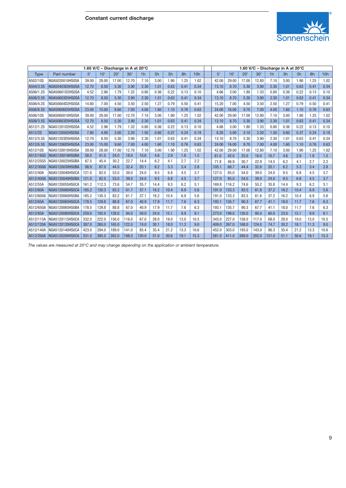

|             |                        | 1.60 V/C - Discharge in A at 20°C |       |       |       |                |      |      |      |                 |       |       |       |       |                |      |      |      |                 |
|-------------|------------------------|-----------------------------------|-------|-------|-------|----------------|------|------|------|-----------------|-------|-------|-------|-------|----------------|------|------|------|-----------------|
| <b>Type</b> | Part number            | 5'                                | 10'   | 20'   | 30'   | 1 <sub>h</sub> | 3h   | 5h   | 8h   | 10 <sub>h</sub> | 5'    | 10'   | 20'   | 30'   | 1 <sub>h</sub> | 3h   | 5h   | 8h   | 10 <sub>h</sub> |
| A502/10S    | NGA5020010HS0SA        | 39.00                             | 28.00 | 17.00 | 12.70 | 7.10           | 3.00 | 1.90 | 1.25 | 1.02            | 42.00 | 29.00 | 17.00 | 12.80 | 7.10           | 3.00 | 1.90 | 1.25 | 1.02            |
| A504/3.5S   | NGA50403D5HS0SA        | 12.70                             | 8.50  | 5.30  | 3.90  | 2.30           | 1.01 | 0.63 | 0.41 | 0.34            | 13.10 | 8.70  | 5.30  | 3.90  | 2.30           | 1.01 | 0.63 | 0.41 | 0.34            |
| A506/1.2S   | NGA50601D2HS0SA        | 4.52                              | 2.96  | 1.79  | 1.32  | 0.80           | 0.36 | 0.22 | 0.13 | 0.10            | 4.66  | 3.00  | 1.80  | 1.33  | 0.80           | 0.36 | 0.22 | 0.13 | 0.10            |
| A506/3.5S   | NGA50603D5HS0SA        | 12.70                             | 8.50  | 5.30  | 3.90  | 2.30           | 1.01 | 0.63 | 0.41 | 0.34            | 13.10 | 8.70  | 5.30  | 3.90  | 2.30           | 1.01 | 0.63 | 0.41 | 0.34            |
| A506/4.2S   | NGA50604D2HS0SA        | 14.80                             | 7.00  | 4.50  | 3.50  | 2.50           | 1.27 | 0.79 | 0.50 | 0.41            | 15.20 | 7.00  | 4.50  | 3.50  | 2.50           | 1.27 | 0.79 | 0.50 | 0.41            |
| A506/6.5S   | NGA50606D5HS0SA        | 23.00                             | 15.00 | 9.60  | 7.00  | 4.00           | 1.60 | 1.10 | 0.76 | 0.63            | 24.00 | 16.00 | 9.70  | 7.00  | 4.00           | 1.60 | 1.10 | 0.76 | 0.63            |
| A506/10S    | NGA5060010HS0SA        | 39.00                             | 28.00 | 17.00 | 12.70 | 7.10           | 3.00 | 1.90 | 1.25 | 1.02            | 42.00 | 29.00 | 17.00 | 12.80 | 7.10           | 3.00 | 1.90 | 1.25 | 1.02            |
| A508/3.5S   | NGA50803D5HS0SA        | 12.70                             | 8.50  | 5.30  | 3.90  | 2.30           | 1.01 | 0.63 | 0.41 | 0.34            | 13.10 | 8.70  | 5.30  | 3.90  | 2.30           | 1.01 | 0.63 | 0.41 | 0.34            |
| A512/1.2S   | NGA51201D2HS0SA        | 4.52                              | 2.96  | 1.79  | 1.32  | 0.80           | 0.36 | 0.22 | 0.13 | 0.10            | 4.66  | 3.00  | 1.80  | 1.33  | 0.80           | 0.36 | 0.22 | 0.13 | 0.10            |
| A512/2S     | <b>NGA5120002HS0SA</b> | 7.80                              | 4.90  | 3.00  | 2.20  | 1.50           | 0.60 | 0.37 | 0.24 | 0.19            | 8.20  | 5.00  | 3.10  | 2.20  | 1.50           | 0.60 | 0.37 | 0.24 | 0.19            |
| A512/3.5S   | NGA51203D5HS0SA        | 12.70                             | 8.50  | 5.30  | 3.90  | 2.30           | 1.01 | 0.63 | 0.41 | 0.34            | 13.10 | 8.70  | 5.30  | 3.90  | 2.30           | 1.01 | 0.63 | 0.41 | 0.34            |
| A512/6.5S   | NGA51206D5HS0SA        | 23.00                             | 15.00 | 9.60  | 7.00  | 4.00           | 1.60 | 1.10 | 0.76 | 0.63            | 24.00 | 16.00 | 9.70  | 7.00  | 4.00           | 1.60 | 1.10 | 0.76 | 0.63            |
| A512/10S    | NGA5120010HS0SA        | 39.00                             | 28.00 | 17.00 | 12.70 | 7.10           | 3.00 | 1.90 | 1.25 | 1.02            | 42.00 | 29.00 | 17.00 | 12.80 | 7.10           | 3.00 | 1.90 | 1.25 | 1.02            |
| A512/16G5   | NGA5120016HS0BA        | 58.0                              | 41.0  | 24.0  | 18.0  | 10.6           | 4.6  | 2.9  | 1.8  | 1.5             | 61.0  | 42.0  | 25.0  | 18.0  | 10.7           | 4.6  | 2.9  | 1.8  | 1.5             |
| A512/25G5   | NGA5120025HS0BA        | 67.5                              | 45.4  | 30.2  | 22.7  | 14.4           | 6.2  | 4.1  | 2.7  | 2.2             | 71.8  | 46.9  | 30.7  | 22.9  | 14.5           | 6.2  | 4.1  | 2.7  | 2.2             |
| A512/30G6   | NGA5120030HS0BA        | 98.9                              | 67.0  | 44.0  | 32.4  | 20.1           | 8.2  | 5.3  | 3.4  | 2.8             | 105.1 | 68.7  | 44.4  | 32.6  | 20.1           | 8.2  | 5.3  | 3.4  | 2.8             |
| A512/40A    | NGA5120040HS0CA        | 121.0                             | 82.0  | 53.0  | 39.0  | 24.0           | 9.5  | 6.8  | 4.5  | 3.7             | 127.0 | 85.0  | 54.0  | 39.0  | 24.0           | 9.5  | 6.8  | 4.5  | 3.7             |
| A512/40G6   | NGA5120040HS0BA        | 121.0                             | 82.0  | 53.0  | 39.0  | 24.0           | 9.5  | 6.8  | 4.5  | 3.7             | 127.0 | 85.0  | 54.0  | 39.0  | 24.0           | 9.5  | 6.8  | 4.5  | 3.7             |
| A512/55A    | NGA5120055HS0CA        | 161.2                             | 112.3 | 73.6  | 54.7  | 35.7           | 14.4 | 9.3  | 6.2  | 5.1             | 169.8 | 116.2 | 74.6  | 55.2  | 35.8           | 14.4 | 9.3  | 6.2  | 5.1             |
| A512/60A    | <b>NGA5120060HSOCA</b> | 185.2                             | 130.3 | 83.2  | 61.7  | 37.1           | 16.2 | 10.4 | 6.9  | 5.6             | 191.0 | 133.3 | 83.5  | 61.8  | 37.2           | 16.2 | 10.4 | 6.9  | 5.6             |
| A512/60G6   | NGA5120060HS0BA        | 185.2                             | 130.3 | 83.2  | 61.7  | 37.1           | 16.2 | 10.4 | 6.9  | 5.6             | 191.0 | 133.3 | 83.5  | 61.8  | 37.2           | 16.2 | 10.4 | 6.9  | 5.6             |
| A512/65A    | NGA5120065HS0CA        | 178.5                             | 129.8 | 88.8  | 67.0  | 40.9           | 17.9 | 11.7 | 7.6  | 6.3             | 193.1 | 135.7 | 90.3  | 67.7  | 41.1           | 18.0 | 11.7 | 7.6  | 6.3             |
| A512/65G6   | NGA5120065HS0BA        | 178.5                             | 129.8 | 88.8  | 67.0  | 40.9           | 17.9 | 11.7 | 7.6  | 6.3             | 193.1 | 135.7 | 90.3  | 67.7  | 41.1           | 18.0 | 11.7 | 7.6  | 6.3             |
| A512/85A    | NGA5120085HS0CA        | 259.0                             | 192.0 | 128.0 | 94.0  | 59.0           | 24.0 | 15.1 | 9.9  | 8.1             | 273.0 | 199.0 | 130.0 | 95.0  | 60.0           | 23.0 | 15.1 | 9.9  | 8.1             |
| A512/115A   | NGA5120115HS0CA        | 332.0                             | 222.0 | 156.0 | 116.0 | 67.0           | 28.0 | 19.0 | 13.0 | 10.5            | 343.0 | 227.0 | 158.0 | 117.0 | 68.0           | 28.0 | 19.0 | 13.0 | 10.5            |
| A512/120A   | <b>NGA5120120HSOCA</b> | 387.0                             | 260.0 | 165.0 | 122.0 | 74.0           | 30.1 | 18.0 | 11.3 | 9.0             | 409.0 | 267.0 | 168.0 | 124.0 | 74.7           | 30.2 | 18.1 | 11.3 | 9.0             |
| A512/140A   | NGA5120140HS0CA        | 423.0                             | 294.0 | 189.0 | 141.0 | 85.4           | 35.4 | 21.2 | 13.3 | 10.6            | 452.0 | 303.0 | 193.0 | 143.0 | 86.3           | 35.4 | 21.2 | 13.3 | 10.6            |
| A512/200A   | <b>NGA5120200HSOCA</b> | 531.0                             | 395.0 | 262.0 | 198.0 | 120.0          | 51.0 | 30.6 | 19.1 | 15.3            | 581.0 | 411.0 | 269.0 | 202.0 | 121.0          | 51.1 | 30.6 | 19.1 | 15.3            |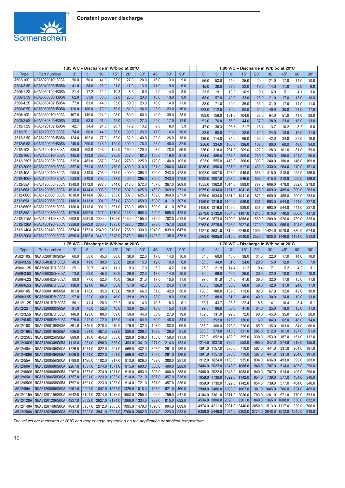

| 1.85 V/C - Discharge in W/bloc at 20°C |                                                            |                                        |        |                                                                           |        |               |                |        |                              |       |                |                |                             |                |                      |                | 1.80 V/C - Discharge in W/bloc at 20°C                  |                   |                |
|----------------------------------------|------------------------------------------------------------|----------------------------------------|--------|---------------------------------------------------------------------------|--------|---------------|----------------|--------|------------------------------|-------|----------------|----------------|-----------------------------|----------------|----------------------|----------------|---------------------------------------------------------|-------------------|----------------|
| Type                                   | Part number                                                | 3'                                     | 5'     | $10^{\circ}$                                                              | 15'    | $20^{\circ}$  | 30'            | 45'    | $60^{\circ}$                 | 90'   | 3'             | 5'             | 10'                         | 15'            | 20'                  | 30'            | 45'                                                     | 60'               | 90'            |
| A502/10S                               | NGA5020010HS0SA                                            | 56.0                                   | 50.0   | 41.0                                                                      | 33.0   | 27.0          | 20.0           | 16.0   | 13.0                         | 9.0   | 56.0           | 53.0           | 44.0                        | 35.0           | 29.0                 | 21.0           | 17.0                                                    | 14.0              | 10.0           |
| A504/3.5S                              | NGA50403D5HS0SA                                            | 41.0                                   | 34.0   | 26.0                                                                      | 21.0   | 17.0          | 13.0           | 11.0   | 9.0                          | 6.0   | 45.0           | 38.0           | 28.0                        | 22.0           | 19.0                 | 14.0           | 11.0                                                    | 9.0               | 6.0            |
| A506/1.2S                              | NGA50601D2HS0SA                                            | 21.4                                   | 17.2   | 12.2                                                                      | 10.3   | 8.6           | 6.6            | 4.9    | 4.0                          | 3.0   | 23.5           | 19.1           | 13.3                        | 10.9           | 9.1                  | 6.9            | 5.1                                                     | 4.1               | 3.0            |
| A506/3.5S                              | NGA50603D5HS0SA                                            | 62.0                                   | 51.0   | 38.0                                                                      | 32.0   | 26.0          | 20.0           | 16.0   | 13.0                         | 9.0   | 68.0           | 57.0           | 42.0                        | 33.0           | 28.0                 | 21.0           | 17.0                                                    | 13.0              | 10.0           |
| A506/4.2S                              | NGA50604D2HS0SA                                            | 77.0                                   | 63.0   | 44.0                                                                      | 35.0   | 30.0          | 23.0           | 16.0   | 14.0                         | 11.0  | 83.0           | 71.0           | 49.0                        | 39.0           | 35.0                 | 31.0           | 17.0                                                    | 14.0              | 11.0           |
| A506/6.5S                              | NGA50606D5HS0SA                                            | 120.0                                  | 100.0  | 73.0                                                                      | 60.0   | 51.0          | 38.0           | 28.0   | 23.0                         | 16.0  | 128.0          | 112.0          | 80.0                        | 63.0           | 54.0                 | 40.0           | 30.0                                                    | 24.0              | 17.0           |
| A506/10S                               | NGA5060010HS0SA                                            | 167.0                                  | 149.0  | 124.0                                                                     | 98.0   | 80.0          | 60.0           | 49.0   | 39.0                         | 28.0  | 168.0          | 159.0          | 131.0                       | 104.0          | 86.0                 | 64.0           | 51.0                                                    | 41.0              | 29.0           |
| A508/3.5S                              | NGA50803D5HS0SA                                            | 83.0                                   | 68.0   | 51.0                                                                      | 42.0   | 35.0          | 27.0           | 22.0   | 17.0                         | 12.0  | 91.0           | 76.0           | 56.0                        | 44.0           | 37.0                 | 28.0           | 23.0                                                    | 18.0              | 13.0           |
| A512/1.2S                              | NGA51201D2HS0SA                                            | 42.7                                   | 34.4   | 24.3                                                                      | 20.7   | 17.2          | 13.2           | 9.8    | 8.0                          | 5.9   |                |                |                             |                |                      |                |                                                         |                   |                |
| A512/2S                                | NGA5120002HS0SA                                            | 74.0                                   | 60.0   | 44.0                                                                      | 36.0   | 30.0          | 23.0           | 17.0   | 14.0                         | 10.0  | 47.0           | 38.3           | 26.5                        | 21.7           | 18.1                 | 13.7           | 10.2                                                    | 8.2               | 6.0            |
|                                        |                                                            |                                        |        |                                                                           |        |               |                |        |                              |       | 83.0           | 68.0           | 49.0                        | 38.0           | 32.0                 | 24.0           | 18.0                                                    | 15.0              | 11.0           |
| A512/3.5S                              | NGA51203D5HS0SA                                            | 124.0                                  | 102.0  | 77.0                                                                      | 63.0   | 52.0          | 40.0           | 33.0   | 26.0                         | 18.0  | 136.0          | 114.0          | 84.0                        | 66.0           | 56.0                 | 42.0           | 34.0                                                    | 27.0              | 19.0           |
| A512/6.5S                              | NGA51206D5HS0SA                                            | 240.0                                  | 200.0  | 146.0                                                                     | 120.0  | 102.0         | 76.0           | 56.0   | 46.0                         | 32.0  | 256.0          | 224.0          | 160.0                       | 126.0          | 108.0                | 80.0           | 60.0                                                    | 48.0              | 34.0           |
| A512/10S                               | NGA5120010HS0SA                                            | 335.0                                  | 298.0  | 248.0                                                                     | 195.0  | 160.0         | 120.0          | 98.0   | 78.0                         | 56.0  | 336.0          | 318.0          | 261.0                       | 209.0          | 172.0                | 128.0          | 101.0                                                   | 81.0              | 59.0           |
| A512/16G5                              | NGA5120016HS0BA                                            | 485.0                                  | 433.0  | 352.0                                                                     | 295.0  | 252.0         | 192.0          | 150.0  | 119.0                        | 87.0  | 584.0          | 485.0          | 384.0                       | 309.0          | 269.0                | 203.0          | 156.0                                                   | 124.0             | 90.0           |
| A512/25G5                              | NGA5120025HS0BA                                            | 535.0                                  | 463.0  | 387.0                                                                     | 324.0  | 278.0         | 225.0          | 170.0  | 140.0                        | 105.0 | 623.0          | 555.0          | 418.0                       | 360.0          | 303.0                | 240.0          | 180.0                                                   | 146.0             | 109.0          |
| A512/30G6                              | NGA5120030HS0BA                                            | 857.0                                  | 751.0  | 568.0                                                                     | 479.0  | 400.0         | 310.0          | 251.0  | 200.0                        | 144.0 | 1036.0         | 850.0          | 637.0                       | 517.0          | 433.0                | 330.0          | 264.0                                                   | 210.0             | 151.0          |
| A512/40A                               | NGA5120040HS0CA                                            | 958.0                                  | 848.0  | 703.0                                                                     | 578.0  | 490.0         | 395.0          | 300.0  | 243.0                        | 178.0 | 1092.0         | 1007.0         | 758.0                       | 646.0          | 538.0                | 415.0          | 318.0                                                   | 255.0             | 186.0          |
| A512/40G6                              | <b>NGA5120040HS0BA</b>                                     | 958.0                                  | 848.0  | 703.0                                                                     | 578.0  | 490.0         | 395.0          | 300.0  | 243.0                        | 178.0 | 1092.0         | 1007.0         | 758.0                       | 646.0          | 538.0                | 415.0          | 318.0                                                   | 255.0             | 186.0          |
| A512/55A                               | NGA5120055HS0CA                                            | 1348.0                                 | 1172.0 | 922.0                                                                     | 844.0  | 718.0         | 572.0          | 457.0  | 367.0                        | 269.0 | 1555.0         | 1362.0         | 1014.0                      | 888.0          | 777.0                | 606.0          | 478.0                                                   | 382.0             | 278.0          |
| A512/60A                               | NGA5120060HS0CA                                            | 1618.0                                 | 1414.0 | 1096.0                                                                    | 963.0  | 807.0         | 625.0          | 459.0  | 369.0                        | 271.0 | 1955.0         | 1634.0         | 1181.0                      | 1041.0         | 873.0                | 669.0          | 489.0                                                   | 390.0             | 283.0          |
| A512/60G6                              | NGA5120060HS0BA                                            | 1618.0                                 | 1414.0 | 1096.0                                                                    | 963.0  | 807.0         | 625.0          | 459.0  | 369.0                        | 271.0 | 1955.0         | 1634.0         | 1181.0                      | 1041.0         | 873.0                | 669.0          | 489.0                                                   | 390.0             | 283.0          |
| A512/65A                               | NGA5120065HS0CA                                            | 1180.0                                 | 1113.0 | 991.0                                                                     | 861.0  | 763.0         | 659.0          | 500.0  | 411.0                        | 307.0 | 1459.0         | 1316.0         | 1109.0                      | 989.0          | 851.0                | 693.0          | 544.0                                                   | 441.0             | 327.0          |
| A512/65G6                              | NGA5120065HS0BA                                            | 1180.0                                 | 1113.0 | 991.0                                                                     | 861.0  | 763.0         | 659.0          | 500.0  | 411.0                        | 307.0 | 1459.0         | 1316.0         | 1109.0                      | 989.0          | 851.0                | 693.0          | 544.0                                                   | 441.0             | 327.0          |
| A512/85A                               | NGA5120085HS0CA                                            | 1979.0                                 | 1802.0 | 1527.0                                                                    | 1310.0 | 1118.0        | 905.0          | 690.0  | 565.0                        | 425.0 | 2279.0         | 2132.0         | 1684.0                      | 1487.0         | 1245.0               | 970.0          | 740.0                                                   | 600.0             | 447.0          |
| A512/115A                              | NGA5120115HS0CA                                            | 2808.0                                 | 2531.0 | 2009.0                                                                    | 1705.0 | 1439.0        | 1155.0         | 872.0  | 702.0                        | 512.0 | 3189.0         | 2873.0         | 2190.0                      | 1888.0         | 1569.0               | 1209.0         | 926.0                                                   | 739.0             | 535.0          |
| A512/120A                              | NGA5120120HSOCA                                            | 3350.0                                 | 2862.0 | 2300.0                                                                    | 1895.0 | 1583.0        | 1200.0         | 938.0  | 757.0                        | 583.0 | 3763.0         | 3276.0         | 2543.0                      | 2027.0         | 1720.0               | 1285.0         | 966.0                                                   | 794.0             | 608.0          |
| A512/140A                              | NGA5120140HSOCA                                            | 3674.0                                 | 3172.0 | 2549.0                                                                    | 2101.0 | 1755.0        | 1330.0         | 1040.0 | 839.0                        | 647.0 | 4127.0         | 3631.0         | 2819.0                      | 2246.0         | 1906.0               | 1424.0         | 070.0                                                   | 880.0             | 674.0          |
| A512/200A                              | <b>NGA5120200HS0CA</b>                                     | 4690.0                                 | 4102.0 | 3449.0                                                                    |        | 2843.0 2375.0 | 1800.0         | 1408.0 | 1135.0                       | 875.0 |                | 5268.0 4695.0  | 3815.0                      | 3040.0         | 2580.0               | 1928.0         | 1449.0                                                  | 1191.0            | 912.0          |
|                                        |                                                            |                                        |        |                                                                           |        |               |                |        |                              |       |                |                |                             |                |                      |                |                                                         |                   |                |
|                                        |                                                            |                                        |        |                                                                           |        |               |                |        |                              |       |                |                |                             |                |                      |                |                                                         |                   |                |
|                                        |                                                            | 1.75 V/C - Discharge in W/bloc at 20°C |        |                                                                           |        |               |                |        |                              |       |                |                |                             |                |                      |                | 1.70 V/C - Discharge in W/bloc at 20°C                  |                   |                |
| <b>Type</b>                            | Part number                                                | 3'                                     | 5'     | 10'                                                                       | 15'    | 20'           | 30'            | 45'    | 60'                          | 90'   | 3'             | 5'             | 10'                         | 15'            | 20'                  | 30'            | 45'                                                     | 60'               | 90'            |
| A502/10S                               | NGA5020010HS0SA                                            | 60.0                                   | 58.0   | 45.0                                                                      | 36.0   | 30.0          | 22.0           | 17.0   | 14.0                         | 10.0  | 64.0           | 60.0           | 46.0                        | 38.0           | 31.0                 | 22.0           | 17.0                                                    | 14.0              | 10.0           |
| A504/3.5S                              | NGA50403D5HS0SA                                            | 49.0                                   | 41.0   | 30.0                                                                      | 23.0   | 20.0          | 15.0           | 12.0   | 9.0                          | 6.0   | 53.0           | 44.0           | 31.0                        | 24.0           | 20.0                 | 15.0           | 12.0                                                    | 9.0               | 7.0            |
| A506/1.2S                              | NGA50601D2HS0SA                                            | 25.1                                   | 20.7   | 14.0                                                                      | 11.1   | 9.3           | 7.0            | 5.2    | 4.2                          | 3.0   | 26.8           | 21.9           | 14.4                        | 11.2           | 9.4                  | 7.1            | 5.2                                                     | 4.2               | 3.1            |
| A506/3.5S                              | NGA50603D5HS0SA                                            | 73.0                                   | 62.0   | 45.0                                                                      | 35.0   | 29.0          | 22.0           | 18.0   | 14.0                         | 10.0  | 80.0           | 66.0           | 46.0                        | 36.0           | 30.0                 | 22.0           | 18.0                                                    | 14.0              | 10.0           |
| A506/4.2S                              | NGA50604D2HS0SA                                            | 89.0                                   | 77.0   | 52.0                                                                      | 40.0   | 36.0          | 31.0           | 17.0   | 15.0                         | 11.0  | 97.0           | 81.0           | 54.0                        | 41.0           | 36.0                 | 32.0           | 17.0                                                    | 15.0              | 11.0           |
| A506/6.5S                              | NGA50606D5HS0SA                                            | 138.0                                  | 121.0  | 86.0                                                                      | 66.0   | 57.0          | 42.0           | 30.0   | 24.0                         | 17.0  | 150.0          | 126.0          | 88.0                        | 68.0           | 58.0                 | 42.0           | 31.0                                                    | 24.0              | 17.0           |
| A506/10S                               | NGA5060010HS0SA                                            | 181.0                                  | 173.0  | 135.0                                                                     | 109.0  | 90.0          | 66.0           | 51.0   | 42.0                         | 30.0  | 193.0          | 180.0          | 139.0                       | 113.0          | 92.0                 | 67.0           | 52.0                                                    | 42.0              | 30.0           |
| A508/3.5S                              | NGA50803D5HS0SA                                            | 97.0                                   | 82.0   | 60.0                                                                      | 46.0   | 39.0          | 29.0           | 23.0   | 18.0                         | 13.0  | 106.0          | 88.0           | 61.0                        | 48.0           | 40.0                 | 30.0           | 24.0                                                    | 19.0              | 13.0           |
| A512/1.2S                              | NGA51201D2HS0SA                                            | 50.1                                   | 41.4   | 28.0                                                                      | 22.2   | 18.6          | 14.0           | 10.3   | 8.3                          | 6.1   | 53.7           | 43.7           | 28.8                        | 22.4           | 18.8                 | 14.1           | 10.4                                                    | 8.4               | 6.1            |
| A512/2S                                | NGA5120002HS0SA                                            | 91.0                                   | 75.0   | 52.0                                                                      | 40.0   | 33.0          | 25.0           | 18.0   | 15.0                         | 11.0  | 99.0           | 80.0           | 53.0                        | 41.0           | 34.0                 | 25.0           | 19.0                                                    | 15.0              | 11.0           |
| A512/3.5S                              | NGA51203D5HS0SA                                            | 146.0                                  | 123.0  | 89.0                                                                      | 69.0   | 59.0          | 44.0           | 35.0   | 27.0                         | 19.0  | 159.0          | 131.0          | 92.0                        | 72.0           | 60.0                 | 45.0           | 35.0                                                    | 28.0              | 20.0           |
| A512/6.5S                              | NGA51206D5HS0SA                                            | 276.0                                  | 242.0  | 172.0                                                                     | 132.0  | 114.0         | 84.0           | 60.0   | 48.0                         | 34.0  | 300.0          | 252.0          | 176.0                       | 136.0          | 116.0                | 84.0           | 62.0                                                    | 48.0              | 34.0           |
| A512/10S                               | NGA5120010HS0SA                                            | 361.0                                  | 346.0  | 270.0                                                                     | 219.0  | 179.0         |                | 103.0  | 83.0                         | 60.0  |                |                |                             |                |                      |                |                                                         |                   |                |
|                                        | A512/16G5   NGA5120016HS0BA                                | 636.0                                  | 534.0  | 407.0                                                                     | 322.0  | 280.0         | 132.0<br>209.0 | 159.0  | 126.0                        | 91.0  | 385.0<br>688.0 | 360.0<br>573.0 | 278.0<br>418.0              | 226.0<br>331.0 | 185.0<br>285.0       | 135.0<br>212.0 | 103.0<br>161.0                                          | $84.0\,$<br>127.0 | 60.0<br>91.0   |
|                                        |                                                            |                                        |        |                                                                           |        |               |                |        |                              |       |                | 652.0          | 482.0                       | 395.0          | 330.0                | 253.0          | 187.0                                                   | 151.0             | 112.0          |
| A512/25G5                              | NGA5120025HS0BA                                            | 689.0                                  | 616.0  | 454.0                                                                     | 385.0  | 320.0         | 248.0          | 185.0  | 150.0                        | 111.0 | 776.0          |                |                             |                |                      |                |                                                         |                   |                |
|                                        | A512/30G6   NGA5120030HS0BA                                | 1118.0                                 | 951.0  | 690.0                                                                     | 538.0  | 453.0         | 341.0          | 271.0  | 214.0                        | 153.0 |                | 1214.0 1037.0  | 726.0                       | 558.0          | 465.0                | 347.0          | 274.0                                                   | 216.0             | 155.0          |
| A512/40A                               | NGA5120040HS0CA                                            | 1226.0                                 | 1074.0 | 822.0                                                                     | 691.0  | 569.0         | 432.0          | 326.0  | 261.0                        | 189.0 | 1391.0 1157.0  |                | 870.0                       | 719.0          | 587.0                | 441.0          | 331.0                                                   | 264.0             | 191.0          |
| A512/40G6                              | NGA5120040HS0BA                                            | 1226.0                                 | 1074.0 | 822.0                                                                     | 691.0  | 569.0         | 432.0          | 326.0  | 261.0                        | 189.0 | 1391.0 1157.0  |                | 870.0                       | 719.0          | 587.0                | 441.0          | 331.0                                                   | 264.0             | 191.0          |
| A512/55A                               | NGA5120055HS0CA                                            | 1799.0                                 | 1496.0 | 1102.0                                                                    | 917.0  | 813.0         | 626.0          | 489.0  | 388.0                        | 281.0 | 1912.0 1624.0  |                | 1163.0                      | 935.0          | 834.0                | 636.0          | 493.0                                                   | 392.0             | 283.0          |
| A512/60A                               | NGA5120060HS0CA                                            | 2267.0                                 | 1837.0 | 1274.0                                                                    | 1071.0 | 915.0         | 693.0          | 505.0  | 400.0                        | 288.0 | 2406.0 2022.0  |                | 1348.0                      | 1088.0         | 940.0                | 707.0          | 514.0                                                   | 405.0             | 290.0          |
| A512/60G6                              | NGA5120060HS0BA                                            | 2267.0                                 | 1837.0 | 1274.0                                                                    | 1071.0 | 915.0         | 693.0          | 505.0  | 400.0                        | 288.0 | 2406.0 2022.0  |                | 1348.0                      | 1088.0         | 940.0                | 707.0          | 514.0                                                   | 405.0             | 290.0          |
| A512/65A                               | NGA5120065HS0CA                                            | 1757.0                                 |        | 1591.0 1223.0 1083.0                                                      |        | 914.0         | 721.0          | 567.0  | 457.0                        | 336.0 |                |                | 1959.0 1739.0 1322.0 1142.0 |                | 954.0                | 739.0          | 577.0                                                   | 464.0             | 340.0          |
| A512/65G6                              | NGA5120065HS0BA                                            | 1757.0                                 |        | 1591.0 1223.0                                                             | 1083.0 | 914.0         | 721.0          | 567.0  | 457.0                        | 336.0 | 1959.0 1739.0  |                | 1322.0 1142.0               |                | 954.0                | 739.0          | 577.0                                                   | 464.0             | 340.0          |
| A512/85A                               | NGA5120085HS0CA                                            | 2561.0                                 |        | 2292.0 1847.0 1557.0 1329.0 1018.0                                        |        |               |                | 768.0  | 621.0                        | 460.0 | 2900.0 2486.0  |                | 1993.0 1607.0               |                | 1381.0               | 1045.0         | 786.0                                                   | 634.0             | 469.0          |
|                                        | A512/115A   NGA5120115HS0CA                                | 3642.0                                 |        | 3101.0 2374.0                                                             | 1986.0 | 1653.0 1255.0 |                | 956.0  | 759.0                        | 547.0 | 4106.0 3361.0  |                | $2511.0$ 2030.0             |                | 1703.0               | 1281.0         | 971.0                                                   | 770.0             | 553.0          |
| A512/120A                              | NGA5120120HSOCA                                            | 4237.0                                 |        | 3552.0 2627.0 2134.0                                                      |        | 1800.0 1334.0 |                | 989.0  | 815.0                        | 622.0 |                |                | 4536.0 3800.0 2690.0 2201.0 |                | 1849.0 1365.0 1008.0 |                |                                                         | 830.0             | 632.0          |
|                                        | A512/140A   NGA5120140HS0CA<br>A512/200A   NGA5120200HS0CA | 4647.0<br>5932.0                       |        | 3937.0 2912.0 2365.0 1995.0 1479.0<br> 5092.0 3941.0 3201.0 2700.0 2002.0 |        |               |                | 1096.0 | 904.0<br>1484.0 1223.0 933.0 | 689.0 |                | 4974.0 4211.0  | $2981.0$ 2440.0             |                | 2050.0 1513.0 1117.0 |                | 6350.0 5446.0 4034.0 3302.0 2774.0 2048.0 1512.0 1245.0 | 920.0             | 700.0<br>948.0 |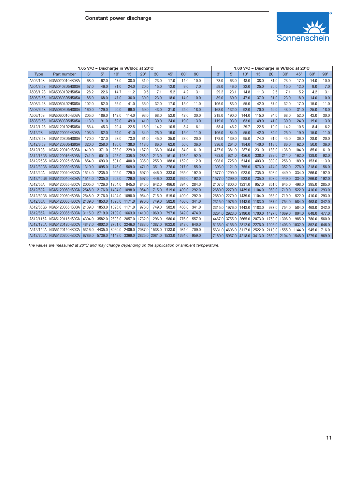

|             | 1.65 V/C - Discharge in W/bloc at 20°C |        |        |        |        |        |        |        |        |       |  |        |        | 1.60 V/C - Discharge in W/bloc at 20°C |        |        |               |        |        |       |  |  |  |  |
|-------------|----------------------------------------|--------|--------|--------|--------|--------|--------|--------|--------|-------|--|--------|--------|----------------------------------------|--------|--------|---------------|--------|--------|-------|--|--|--|--|
| <b>Type</b> | Part number                            | 3'     | 5'     | 10'    | 15'    | 20'    | 30'    | 45'    | 60'    | 90'   |  | 3'     | 5'     | 10'                                    | 15'    | 20'    | 30'           | 45'    | 60'    | 90'   |  |  |  |  |
| A502/10S    | NGA5020010HS0SA                        | 68.0   | 62.0   | 47.0   | 38.0   | 31.0   | 23.0   | 17.0   | 14.0   | 10.0  |  | 73.0   | 63.0   | 48.0                                   | 38.0   | 31.0   | 23.0          | 17.0   | 14.0   | 10.0  |  |  |  |  |
| A504/3.5S   | NGA50403D5HS0SA                        | 57.0   | 46.0   | 31.0   | 24.0   | 20.0   | 15.0   | 12.0   | 9.0    | 7.0   |  | 59.0   | 46.0   | 32.0                                   | 25.0   | 20.0   | 15.0          | 12.0   | 9.0    | 7.0   |  |  |  |  |
| A506/1.2S   | NGA50601D2HS0SA                        | 28.2   | 22.6   | 14.7   | 11.2   | 9.5    | 7.1    | 5.2    | 4.2    | 3.1   |  | 29.2   | 23.1   | 14.8                                   | 11.3   | 9.5    | 7.1           | 5.2    | 4.2    | 3.1   |  |  |  |  |
| A506/3.5S   | NGA50603D5HS0SA                        | 85.0   | 68.0   | 47.0   | 36.0   | 30.0   | 23.0   | 18.0   | 14.0   | 10.0  |  | 89.0   | 69.0   | 47.0                                   | 37.0   | 31.0   | 23.0          | 18.0   | 14.0   | 10.0  |  |  |  |  |
| A506/4.2S   | NGA50604D2HS0SA                        | 102.0  | 82.0   | 55.0   | 41.0   | 36.0   | 32.0   | 17.0   | 15.0   | 11.0  |  | 106.0  | 83.0   | 55.0                                   | 42.0   | 37.0   | 32.0          | 17.0   | 15.0   | 11.0  |  |  |  |  |
| A506/6.5S   | NGA50606D5HS0SA                        | 160.0  | 129.0  | 90.0   | 69.0   | 59.0   | 43.0   | 31.0   | 25.0   | 18.0  |  | 168.0  | 132.0  | 92.0                                   | 70.0   | 59.0   | 43.0          | 31.0   | 25.0   | 18.0  |  |  |  |  |
| A506/10S    | NGA5060010HS0SA                        | 205.0  | 186.0  | 142.0  | 114.0  | 93.0   | 68.0   | 52.0   | 42.0   | 30.0  |  | 218.0  | 190.0  | 144.0                                  | 115.0  | 94.0   | 68.0          | 52.0   | 42.0   | 30.0  |  |  |  |  |
| A508/3.5S   | NGA50803D5HS0SA                        | 113.0  | 91.0   | 62.0   | 49.0   | 41.0   | 30.0   | 24.0   | 19.0   | 13.0  |  | 119.0  | 93.0   | 63.0                                   | 49.0   | 41.0   | 30.0          | 24.0   | 19.0   | 13.0  |  |  |  |  |
| A512/1.2S   | NGA51201D2HS0SA                        | 56.4   | 45.3   | 29.4   | 22.5   | 18.9   | 14.2   | 10.5   | 8.4    | 6.1   |  | 58.4   | 46.2   | 29.7                                   | 22.5   | 19.0   | 14.2          | 10.5   | 8.4    | 6.2   |  |  |  |  |
| A512/2S     | NGA5120002HS0SA                        | 103.0  | 82.0   | 54.0   | 41.0   | 34.0   | 25.0   | 19.0   | 15.0   | 11.0  |  | 106.0  | 84.0   | 55.0                                   | 42.0   | 34.0   | 25.0          | 19.0   | 15.0   | 11.0  |  |  |  |  |
| A512/3.5S   | NGA51203D5HS0SA                        | 170.0  | 137.0  | 93.0   | 73.0   | 61.0   | 45.0   | 35.0   | 28.0   | 20.0  |  | 178.0  | 139.0  | 95.0                                   | 74.0   | 61.0   | 45.0          | 36.0   | 28.0   | 20.0  |  |  |  |  |
| A512/6.5S   | NGA51206D5HS0SA                        | 320.0  | 258.0  | 180.0  | 138.0  | 118.0  | 86.0   | 62.0   | 50.0   | 36.0  |  | 336.0  | 264.0  | 184.0                                  | 140.0  | 118.0  | 86.0          | 62.0   | 50.0   | 36.0  |  |  |  |  |
| A512/10S    | NGA5120010HS0SA                        | 410.0  | 371.0  | 283.0  | 229.0  | 187.0  | 136.0  | 104.0  | 84.0   | 61.0  |  | 437.0  | 381.0  | 287.0                                  | 231.0  | 188.0  | 136.0         | 104.0  | 85.0   | 61.0  |  |  |  |  |
| A512/16G5   | NGA5120016HS0BA                        | 741.0  | 601.0  | 423.0  | 335.0  | 288.0  | 213.0  | 161.0  | 128.0  | 92.0  |  | 783.0  | 621.0  | 426.0                                  | 338.0  | 289.0  | 214.0         | 162.0  | 128.0  | 92.0  |  |  |  |  |
| A512/25G5   | NGA5120025HS0BA                        | 854.0  | 693.0  | 501.0  | 400.0  | 335.0  | 255.0  | 188.0  | 152.0  | 112.0 |  | 908.0  | 725.0  | 514.0                                  | 403.0  | 339.0  | 256.0         | 189.0  | 153.0  | 113.0 |  |  |  |  |
| A512/30G6   | NGA5120030HS0BA                        | 1310.0 | 1095.0 | 746.0  | 569.0  | 471.0  | 351.0  | 276.0  | 217.0  | 155.0 |  | 1393.0 | 1121.0 | 755.0                                  | 576.0  | 474.0  | 352.0         | 276.0  | 218.0  | 156.0 |  |  |  |  |
| A512/40A    | NGA5120040HS0CA                        | 1514.0 | 1235.0 | 902.0  | 729.0  | 597.0  | 446.0  | 333.0  | 265.0  | 192.0 |  | 1577.0 | 1299.0 | 923.0                                  | 735.0  | 603.0  | 449.0         | 334.0  | 266.0  | 192.0 |  |  |  |  |
| A512/40G6   | NGA5120040HS0BA                        | 1514.0 | 1235.0 | 902.0  | 729.0  | 597.0  | 446.0  | 333.0  | 265.0  | 192.0 |  | 1577.0 | 1299.0 | 923.0                                  | 735.0  | 603.0  | 449.0         | 334.0  | 266.0  | 192.0 |  |  |  |  |
| A512/55A    | NGA5120055HS0CA                        | 2005.0 | 1726.0 | 1204.0 | 945.0  | 845.0  | 642.0  | 496.0  | 394.0  | 284.0 |  | 2107.0 | 1800.0 | 1231.0                                 | 957.0  | 851.0  | 645.0         | 498.0  | 395.0  | 285.0 |  |  |  |  |
| A512/60A    | NGA5120060HS0CA                        | 2548.0 | 2176.0 | 1404.0 | 1098.0 | 954.0  | 715.0  | 519.0  | 409.0  | 292.0 |  | 2680.0 | 2279.0 | 1439.0                                 | 1104.0 | 963.0  | 719.0         | 522.0  | 410.0  | 293.0 |  |  |  |  |
| A512/60G6   | NGA5120060HS0BA                        | 2548.0 | 2176.0 | 1404.0 | 1098.0 | 954.0  | 715.0  | 519.0  | 409.0  | 292.0 |  | 2680.0 | 2279.0 | 1439.0                                 | 1104.0 | 963.0  | 719.0         | 522.0  | 410.0  | 293.0 |  |  |  |  |
| A512/65A    | NGA5120065HS0CA                        | 2139.0 | 1853.0 | 1395.0 | 1171.0 | 976.0  | 749.0  | 582.0  | 466.0  | 341.0 |  | 2315.0 | 1976.0 | 1443.0                                 | 1183.0 | 987.0  | 754.0         | 584.0  | 468.0  | 342.0 |  |  |  |  |
| A512/65G6   | NGA5120065HS0BA                        | 2139.0 | 1853.0 | 1395.0 | 1171.0 | 976.0  | 749.0  | 582.0  | 466.0  | 341.0 |  | 2315.0 | 1976.0 | 1443.0                                 | 1183.0 | 987.0  | 754.0         | 584.0  | 468.0  | 342.0 |  |  |  |  |
| A512/85A    | NGA5120085HS0CA                        | 3115.0 | 2719.0 | 2109.0 | 1663.0 | 1410.0 | 1060.0 | 797.0  | 642.0  | 474.0 |  | 3264.0 | 2923.0 | 2190.0                                 | 1700.0 | 1427.0 | 1069.0        | 804.0  | 648.0  | 477.0 |  |  |  |  |
| A512/115A   | NGA5120115HS0CA                        | 4304.0 | 3582.0 | 2603.0 | 2057.0 | 1732.0 | 1296.0 | 980.0  | 776.0  | 557.0 |  | 4467.0 | 3755.0 | 2665.0                                 | 2073.0 | 1750.0 | 1306.0        | 985.0  | 780.0  | 560.0 |  |  |  |  |
| A512/120A   | NGA5120120HS0CA                        | 4847.0 | 4002.0 | 2761.0 | 2246.0 | 1883.0 | 1387.0 | 1022.0 | 843.0  | 640.0 |  | 5135.0 | 4156.0 | 2812.0                                 | 2276.0 | 1906.0 | 1403.0        | 1032.0 | 852.0  | 646.0 |  |  |  |  |
| A512/140A   | NGA5120140HS0CA                        | 5316.0 | 4435.0 | 3060.0 | 2489.0 | 2087.0 | 1538.0 | 1133.0 | 934.0  | 709.0 |  | 5631.0 | 4606.0 | 3117.0                                 | 2522.0 | 2113.0 | 1555.0        | 1144.0 | 945.0  | 716.0 |  |  |  |  |
| A512/200A   | NGA5120200HS0CA                        | 6786.0 | 5736.0 | 4142.0 | 3369.0 | 2825.0 | 2081.0 | 1533.0 | 1264.0 | 959.0 |  | 7189.0 | 5957.0 | 4218.0                                 | 3413.0 |        | 2860.0 2104.0 | 1548.0 | 1279.0 | 969.0 |  |  |  |  |